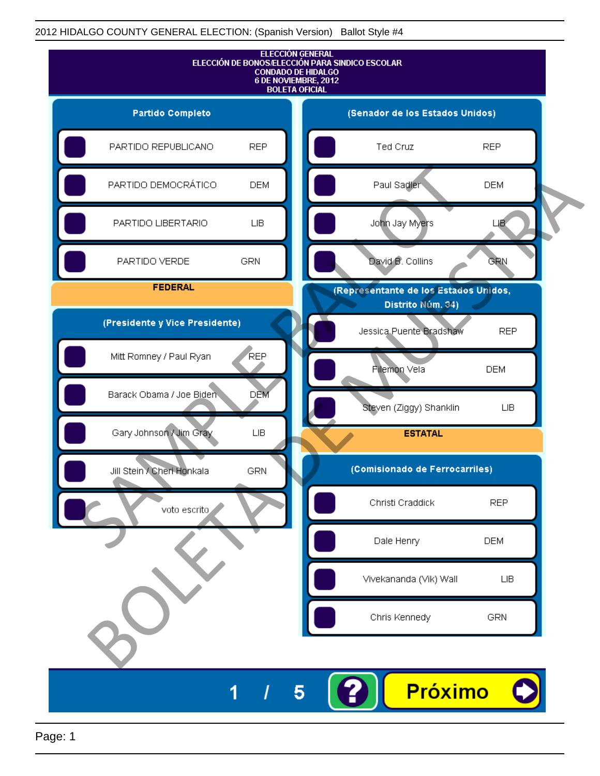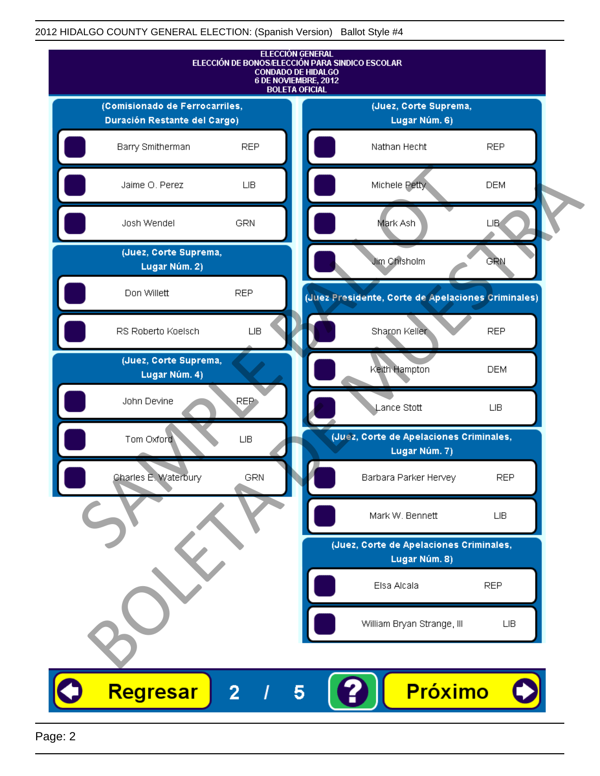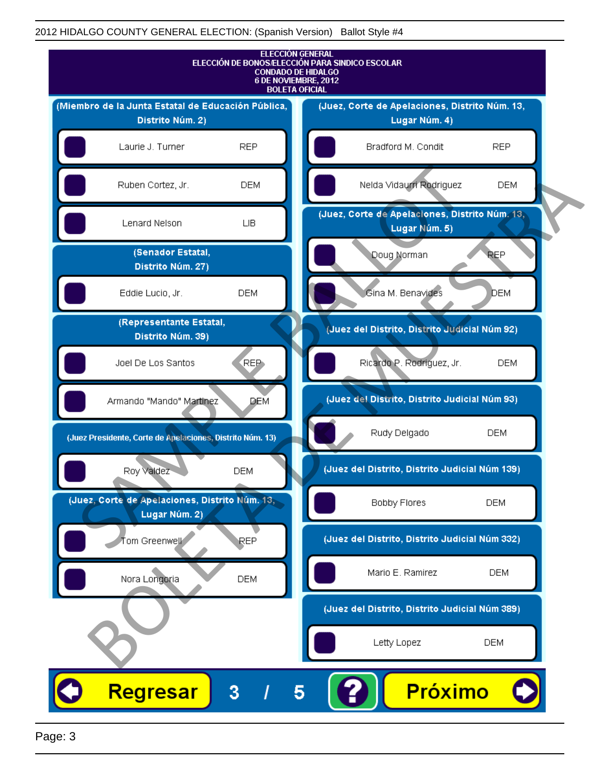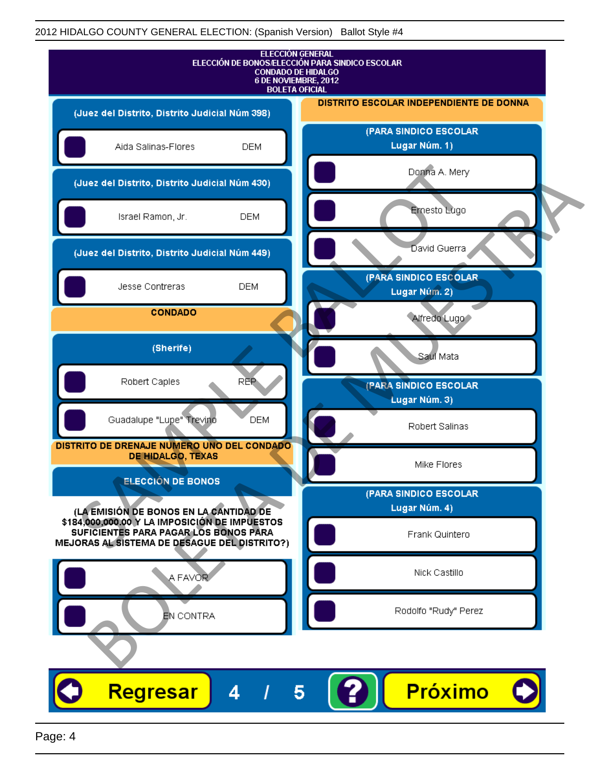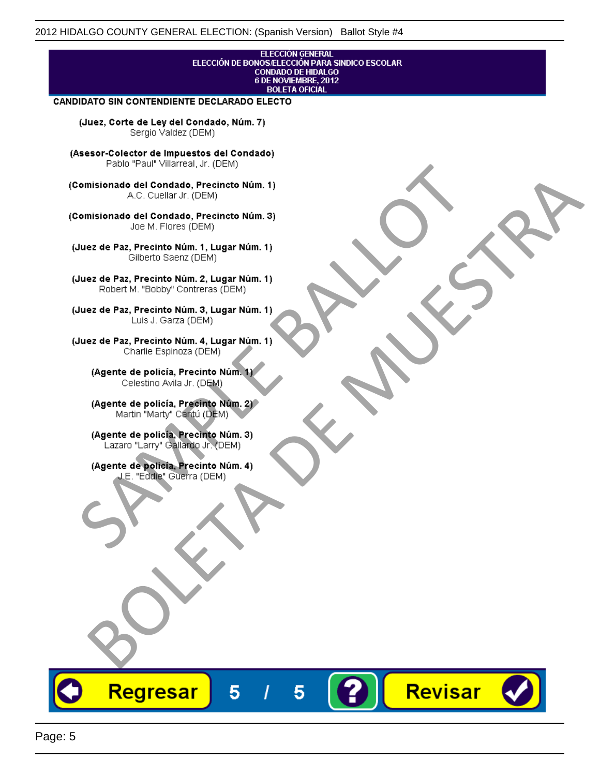## **ELECCIÓN GENERAL** ELECCIÓN DE BONOS/ELECCIÓN PARA SINDICO ESCOLAR<br>CONDADO DE HIDALGO<br>6 DE NOVIEMBRE, 2012 **BOLETA OFICIAL**

Revisar

### **CANDIDATO SIN CONTENDIENTE DECLARADO ELECTO**

(Juez, Corte de Ley del Condado, Núm. 7) Sergio Valdez (DEM)

(Asesor-Colector de Impuestos del Condado)

Fallo Fall Willdrea, J.I. (DEM)<br>
Consistionado el Condado, Precincto Núm. 1)<br>
A.C. Cuellar Jr. (DEM)<br>
Ullez de Paz, Precinto Núm. 1)<br>
Juez de Paz, Precinto Núm. 1, Lugar Núm. 1)<br>
Gilberto Sentr (DEM)<br>
Robert M. "Bobby" Con misionado del Condiado, Precincto Núm. 1)<br>
Andro del Condiado, Precincto Núm. 3)<br>
ez de Paz, Precinto Núm. 21<br>
algo M. Picer Lo Saerz, Cichi (DEM)<br>
algo M. Picer Lo Saerz, Cichi (DEM)<br>
algo M. Picer Lo Saerz, Cichi (DEM)<br>

Regresar

5

5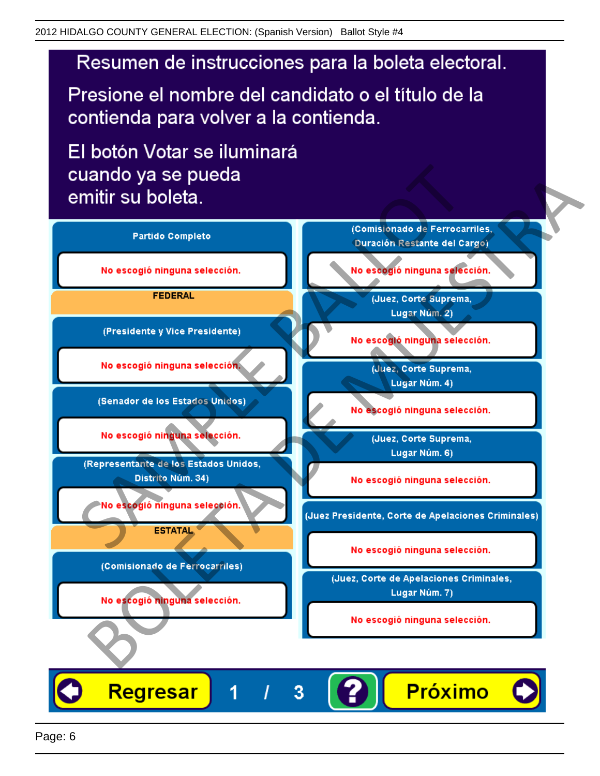# Resumen de instrucciones para la boleta electoral.

Presione el nombre del candidato o el título de la contienda para volver a la contienda.

El botón Votar se iluminará

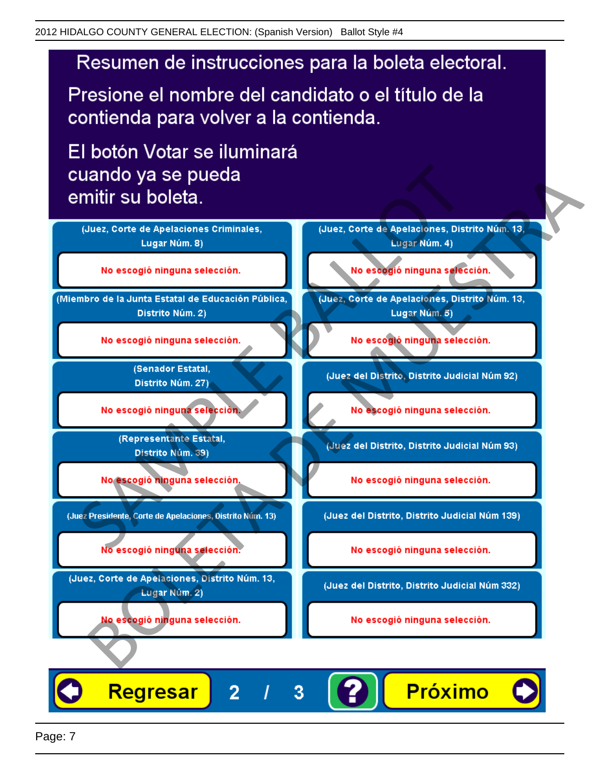# Resumen de instrucciones para la boleta electoral.

Presione el nombre del candidato o el título de la contienda para volver a la contienda.

El botón Votar se iluminará